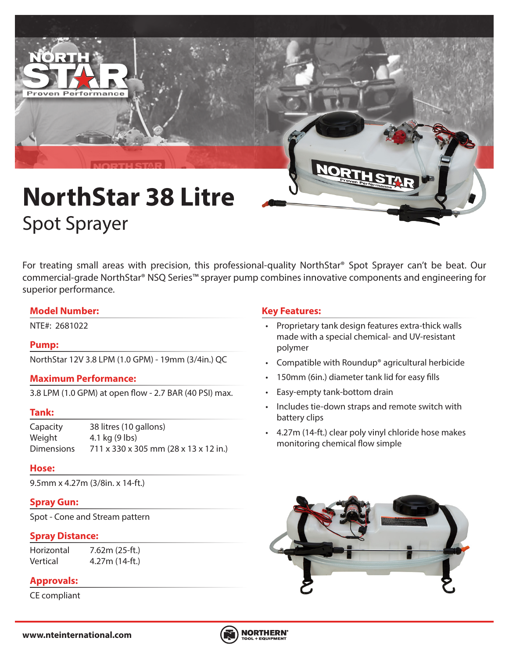

# **NorthStar 38 Litre** Spot Sprayer

For treating small areas with precision, this professional-quality NorthStar® Spot Sprayer can't be beat. Our commercial-grade NorthStar® NSQ Series™ sprayer pump combines innovative components and engineering for superior performance.

#### **Model Number:**

## **Pump:**

NorthStar 12V 3.8 LPM (1.0 GPM) - 19mm (3/4in.) QC

#### **Maximum Performance:**

3.8 LPM (1.0 GPM) at open flow - 2.7 BAR (40 PSI) max.

#### **Tank:**

Capacity 38 litres (10 gallons) Weight 4.1 kg (9 lbs) Dimensions 711 x 330 x 305 mm (28 x 13 x 12 in.)

#### **Hose:**

9.5mm x 4.27m (3/8in. x 14-ft.)

#### **Spray Gun:**

Spot - Cone and Stream pattern

#### **Spray Distance:**

Horizontal 7.62m (25-ft.) Vertical 4.27m (14-ft.)

# **Approvals:**

CE compliant

## **Key Features:**

- NTE#: 2681022 Proprietary tank design features extra-thick walls made with a special chemical- and UV-resistant polymer
	- Compatible with Roundup® agricultural herbicide
	- 150mm (6in.) diameter tank lid for easy fills
	- Easy-empty tank-bottom drain
	- Includes tie-down straps and remote switch with battery clips
	- 4.27m (14-ft.) clear poly vinyl chloride hose makes monitoring chemical flow simple